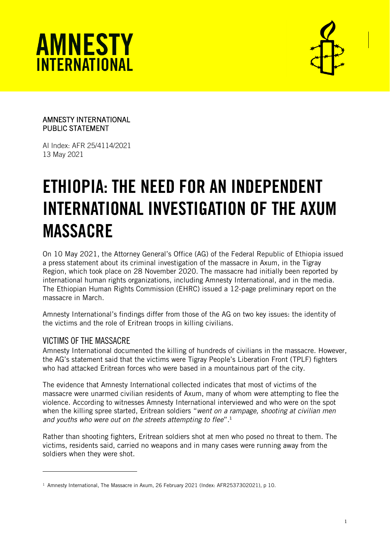



### AMNESTY INTERNATIONAL PUBLIC STATEMENT

AI Index: AFR 25/4114/2021 13 May 2021

# ETHIOPIA: THE NEED FOR AN INDEPENDENT INTERNATIONAL INVESTIGATION OF THE AXUM MASSACRE

On 10 May 2021, the Attorney General's Office (AG) of the Federal Republic of Ethiopia issued a press statement about its criminal investigation of the massacre in Axum, in the Tigray Region, which took place on 28 November 2020. The massacre had initially been reported by international human rights organizations, including Amnesty International, and in the media. The Ethiopian Human Rights Commission (EHRC) issued a 12-page preliminary report on the massacre in March.

Amnesty International's findings differ from those of the AG on two key issues: the identity of the victims and the role of Eritrean troops in killing civilians.

## VICTIMS OF THE MASSACRE

Amnesty International documented the killing of hundreds of civilians in the massacre. However, the AG's statement said that the victims were Tigray People's Liberation Front (TPLF) fighters who had attacked Eritrean forces who were based in a mountainous part of the city.

The evidence that Amnesty International collected indicates that most of victims of the massacre were unarmed civilian residents of Axum, many of whom were attempting to flee the violence. According to witnesses Amnesty International interviewed and who were on the spot when the killing spree started, Eritrean soldiers "*went on a rampage, shooting at civilian men and youths who were out on the streets attempting to flee*".<sup>1</sup>

Rather than shooting fighters, Eritrean soldiers shot at men who posed no threat to them. The victims, residents said, carried no weapons and in many cases were running away from the soldiers when they were shot.

 $1$  Amnesty International, The Massacre in Axum, 26 February 2021 (Index: AFR2537302021), p 10.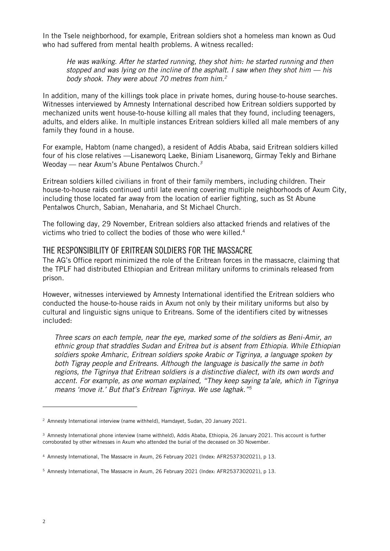In the Tsele neighborhood, for example, Eritrean soldiers shot a homeless man known as Oud who had suffered from mental health problems. A witness recalled:

*He was walking. After he started running, they shot him: he started running and then stopped and was lying on the incline of the asphalt. I saw when they shot him — his body shook. They were about 70 metres from him.<sup>2</sup>*

In addition, many of the killings took place in private homes, during house-to-house searches. Witnesses interviewed by Amnesty International described how Eritrean soldiers supported by mechanized units went house-to-house killing all males that they found, including teenagers, adults, and elders alike. In multiple instances Eritrean soldiers killed all male members of any family they found in a house.

For example, Habtom (name changed), a resident of Addis Ababa, said Eritrean soldiers killed four of his close relatives —Lisaneworq Laeke, Biniam Lisaneworq, Girmay Tekly and Birhane Weoday — near Axum's Abune Pentalwos Church*. 3*

Eritrean soldiers killed civilians in front of their family members, including children. Their house-to-house raids continued until late evening covering multiple neighborhoods of Axum City, including those located far away from the location of earlier fighting, such as St Abune Pentalwos Church, Sabian, Menaharia, and St Michael Church.

The following day, 29 November, Eritrean soldiers also attacked friends and relatives of the victims who tried to collect the bodies of those who were killed. 4

### THE RESPONSIBILITY OF ERITREAN SOLDIERS FOR THE MASSACRE

The AG's Office report minimized the role of the Eritrean forces in the massacre, claiming that the TPLF had distributed Ethiopian and Eritrean military uniforms to criminals released from prison.

However, witnesses interviewed by Amnesty International identified the Eritrean soldiers who conducted the house-to-house raids in Axum not only by their military uniforms but also by cultural and linguistic signs unique to Eritreans. Some of the identifiers cited by witnesses included:

*Three scars on each temple, near the eye, marked some of the soldiers as Beni-Amir, an ethnic group that straddles Sudan and Eritrea but is absent from Ethiopia. While Ethiopian soldiers spoke Amharic, Eritrean soldiers spoke Arabic or Tigrinya, a language spoken by both Tigray people and Eritreans. Although the language is basically the same in both regions, the Tigrinya that Eritrean soldiers is a distinctive dialect, with its own words and accent. For example, as one woman explained, "They keep saying ta'ale, which in Tigrinya means 'move it.' But that's Eritrean Tigrinya. We use laghak." 5*

<sup>&</sup>lt;sup>2</sup> Amnesty International interview (name withheld), Hamdayet, Sudan, 20 January 2021.

<sup>3</sup> Amnesty International phone interview (name withheld), Addis Ababa, Ethiopia, 26 January 2021. This account is further corroborated by other witnesses in Axum who attended the burial of the deceased on 30 November.

<sup>4</sup> Amnesty International, The Massacre in Axum, 26 February 2021 (Index: AFR2537302021), p 13.

<sup>5</sup> Amnesty International, The Massacre in Axum, 26 February 2021 (Index: AFR2537302021), p 13.